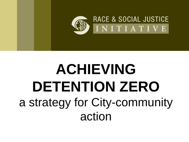

# **ACHIEVING DETENTION ZERO** a strategy for City-community action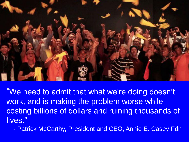

"We need to admit that what we're doing doesn't work, and is making the problem worse while costing billions of dollars and ruining thousands of lives."

- Patrick McCarthy, President and CEO, Annie E. Casey Fdn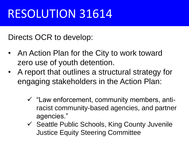## RESOLUTION 31614

Directs OCR to develop:

- An Action Plan for the City to work toward zero use of youth detention.
- A report that outlines a structural strategy for engaging stakeholders in the Action Plan:
	- $\checkmark$  "Law enforcement, community members, antiracist community-based agencies, and partner agencies."
	- $\checkmark$  Seattle Public Schools, King County Juvenile Justice Equity Steering Committee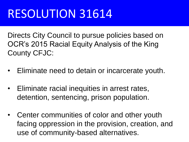## RESOLUTION 31614

Directs City Council to pursue policies based on OCR's 2015 Racial Equity Analysis of the King County CFJC:

- Eliminate need to detain or incarcerate youth.
- Eliminate racial inequities in arrest rates, detention, sentencing, prison population.
- Center communities of color and other youth facing oppression in the provision, creation, and use of community-based alternatives.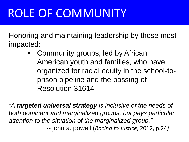## ROLE OF COMMUNITY

Honoring and maintaining leadership by those most impacted:

> Community groups, led by African American youth and families, who have organized for racial equity in the school-toprison pipeline and the passing of Resolution 31614

*"A targeted universal strategy is inclusive of the needs of both dominant and marginalized groups, but pays particular attention to the situation of the marginalized group."*  -- john a. powell (*Racing to Justice*, 2012, p.24*)*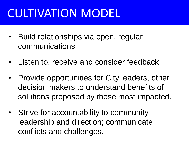## CULTIVATION MODEL

- Build relationships via open, regular communications.
- Listen to, receive and consider feedback.
- Provide opportunities for City leaders, other decision makers to understand benefits of solutions proposed by those most impacted.
- Strive for accountability to community leadership and direction; communicate conflicts and challenges.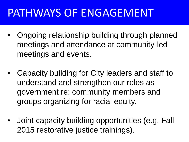#### PATHWAYS OF ENGAGEMENT

- Ongoing relationship building through planned meetings and attendance at community-led meetings and events.
- Capacity building for City leaders and staff to understand and strengthen our roles as government re: community members and groups organizing for racial equity.
- Joint capacity building opportunities (e.g. Fall 2015 restorative justice trainings).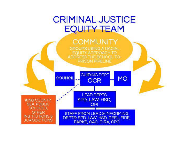#### **CRIMINAL JUSTICE EQUITY TEAM**

#### **COMMUNITY**

GROUPS USING A RACIAL EQUITY APPROACH TO ADDRESS THE SCHOOL-TO-PRISON PIPELINE

**GUIDING DEPT** 

**OCR** 

**MO** 

**COUNCIL** 

**LEAD DEPTS** SPD, LAW, HSD, **OPI** 

KING COUNTY. **SEA PUBLIC** SCHOOLS, **OTHER INSTITUTIONS & JURISDICTIONS** 

STAFF FROM LEAD & INFORMING DEPTS: SPD, LAW, HSD, DEEL, FIRE, PARKS, OAC, OIRA, CPC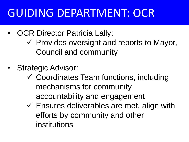#### GUIDING DEPARTMENT: OCR

- OCR Director Patricia Lally:
	- $\checkmark$  Provides oversight and reports to Mayor, Council and community
- Strategic Advisor:
	- Coordinates Team functions, including mechanisms for community accountability and engagement
	- $\checkmark$  Ensures deliverables are met, align with efforts by community and other institutions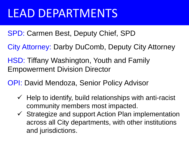#### LEAD DEPARTMENTS

- SPD: Carmen Best, Deputy Chief, SPD
- City Attorney: Darby DuComb, Deputy City Attorney
- HSD: Tiffany Washington, Youth and Family Empowerment Division Director
- OPI: David Mendoza, Senior Policy Advisor
	- $\checkmark$  Help to identify, build relationships with anti-racist community members most impacted.
	- $\checkmark$  Strategize and support Action Plan implementation across all City departments, with other institutions and jurisdictions.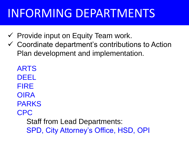### INFORMING DEPARTMENTS

- $\checkmark$  Provide input on Equity Team work.
- Coordinate department's contributions to Action Plan development and implementation.

ARTS DEEL FIRE **OIRA** PARKS CPC Staff from Lead Departments: SPD, City Attorney's Office, HSD, OPI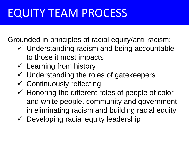#### EQUITY TEAM PROCESS

Grounded in principles of racial equity/anti-racism:

- $\checkmark$  Understanding racism and being accountable to those it most impacts
- $\checkmark$  Learning from history
- $\checkmark$  Understanding the roles of gatekeepers
- $\checkmark$  Continuously reflecting
- $\checkmark$  Honoring the different roles of people of color and white people, community and government, in eliminating racism and building racial equity
- $\checkmark$  Developing racial equity leadership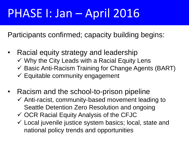## PHASE I: Jan – April 2016

Participants confirmed; capacity building begins:

- Racial equity strategy and leadership  $\checkmark$  Why the City Leads with a Racial Equity Lens
	-
	- $\checkmark$  Basic Anti-Racism Training for Change Agents (BART)
	- $\checkmark$  Equitable community engagement
- Racism and the school-to-prison pipeline
	- $\checkmark$  Anti-racist, community-based movement leading to Seattle Detention Zero Resolution and ongoing
	- $\checkmark$  OCR Racial Equity Analysis of the CFJC
	- $\checkmark$  Local juvenile justice system basics; local, state and national policy trends and opportunities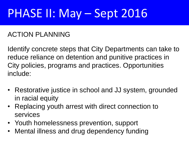#### ACTION PLANNING

Identify concrete steps that City Departments can take to reduce reliance on detention and punitive practices in City policies, programs and practices. Opportunities include:

- Restorative justice in school and JJ system, grounded in racial equity
- Replacing youth arrest with direct connection to services
- Youth homelessness prevention, support
- Mental illness and drug dependency funding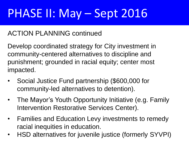#### ACTION PLANNING continued

Develop coordinated strategy for City investment in community-centered alternatives to discipline and punishment; grounded in racial equity; center most impacted.

- Social Justice Fund partnership (\$600,000 for community-led alternatives to detention).
- The Mayor's Youth Opportunity Initiative (e.g. Family Intervention Restorative Services Center).
- Families and Education Levy investments to remedy racial inequities in education.
- HSD alternatives for juvenile justice (formerly SYVPI)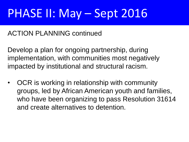#### ACTION PLANNING continued

Develop a plan for ongoing partnership, during implementation, with communities most negatively impacted by institutional and structural racism.

• OCR is working in relationship with community groups, led by African American youth and families, who have been organizing to pass Resolution 31614 and create alternatives to detention.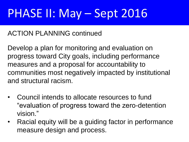#### ACTION PLANNING continued

Develop a plan for monitoring and evaluation on progress toward City goals, including performance measures and a proposal for accountability to communities most negatively impacted by institutional and structural racism.

- Council intends to allocate resources to fund "evaluation of progress toward the zero-detention vision."
- Racial equity will be a guiding factor in performance measure design and process.